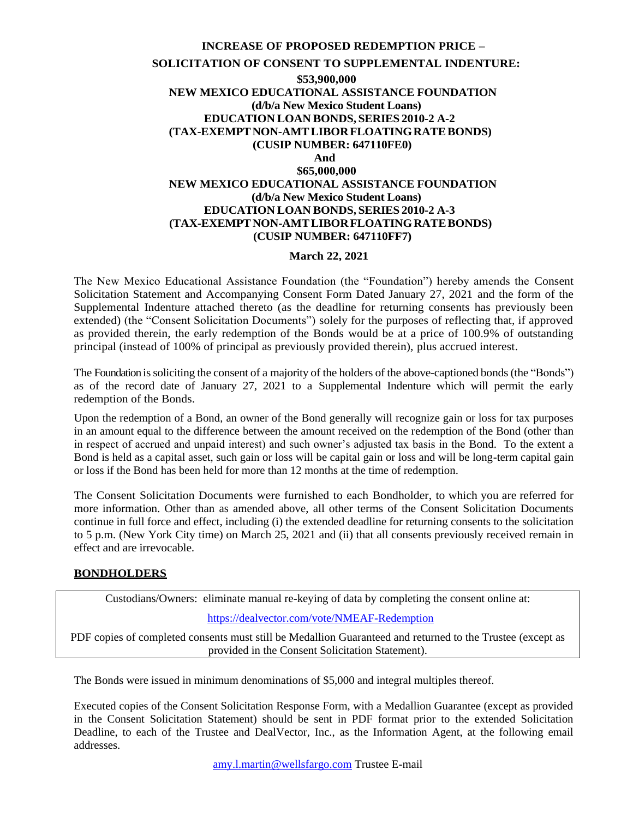## **INCREASE OF PROPOSED REDEMPTION PRICE – SOLICITATION OF CONSENT TO SUPPLEMENTAL INDENTURE: \$53,900,000 NEW MEXICO EDUCATIONAL ASSISTANCE FOUNDATION (d/b/a New Mexico Student Loans) EDUCATION LOAN BONDS, SERIES 2010-2 A-2 (TAX-EXEMPTNON-AMTLIBORFLOATINGRATEBONDS) (CUSIP NUMBER: 647110FE0) And \$65,000,000 NEW MEXICO EDUCATIONAL ASSISTANCE FOUNDATION (d/b/a New Mexico Student Loans) EDUCATION LOAN BONDS, SERIES 2010-2 A-3 (TAX-EXEMPTNON-AMTLIBORFLOATINGRATEBONDS) (CUSIP NUMBER: 647110FF7)**

## **March 22, 2021**

The New Mexico Educational Assistance Foundation (the "Foundation") hereby amends the Consent Solicitation Statement and Accompanying Consent Form Dated January 27, 2021 and the form of the Supplemental Indenture attached thereto (as the deadline for returning consents has previously been extended) (the "Consent Solicitation Documents") solely for the purposes of reflecting that, if approved as provided therein, the early redemption of the Bonds would be at a price of 100.9% of outstanding principal (instead of 100% of principal as previously provided therein), plus accrued interest.

The Foundation issoliciting the consent of a majority of the holders of the above-captioned bonds(the "Bonds") as of the record date of January 27, 2021 to a Supplemental Indenture which will permit the early redemption of the Bonds.

Upon the redemption of a Bond, an owner of the Bond generally will recognize gain or loss for tax purposes in an amount equal to the difference between the amount received on the redemption of the Bond (other than in respect of accrued and unpaid interest) and such owner's adjusted tax basis in the Bond. To the extent a Bond is held as a capital asset, such gain or loss will be capital gain or loss and will be long-term capital gain or loss if the Bond has been held for more than 12 months at the time of redemption.

The Consent Solicitation Documents were furnished to each Bondholder, to which you are referred for more information. Other than as amended above, all other terms of the Consent Solicitation Documents continue in full force and effect, including (i) the extended deadline for returning consents to the solicitation to 5 p.m. (New York City time) on March 25, 2021 and (ii) that all consents previously received remain in effect and are irrevocable.

## **BONDHOLDERS**

Custodians/Owners: eliminate manual re-keying of data by completing the consent online at:

## <https://dealvector.com/vote/NMEAF-Redemption>

PDF copies of completed consents must still be Medallion Guaranteed and returned to the Trustee (except as provided in the Consent Solicitation Statement).

The Bonds were issued in minimum denominations of \$5,000 and integral multiples thereof.

Executed copies of the Consent Solicitation Response Form, with a Medallion Guarantee (except as provided in the Consent Solicitation Statement) should be sent in PDF format prior to the extended Solicitation Deadline, to each of the Trustee and DealVector, Inc., as the Information Agent, at the following email addresses.